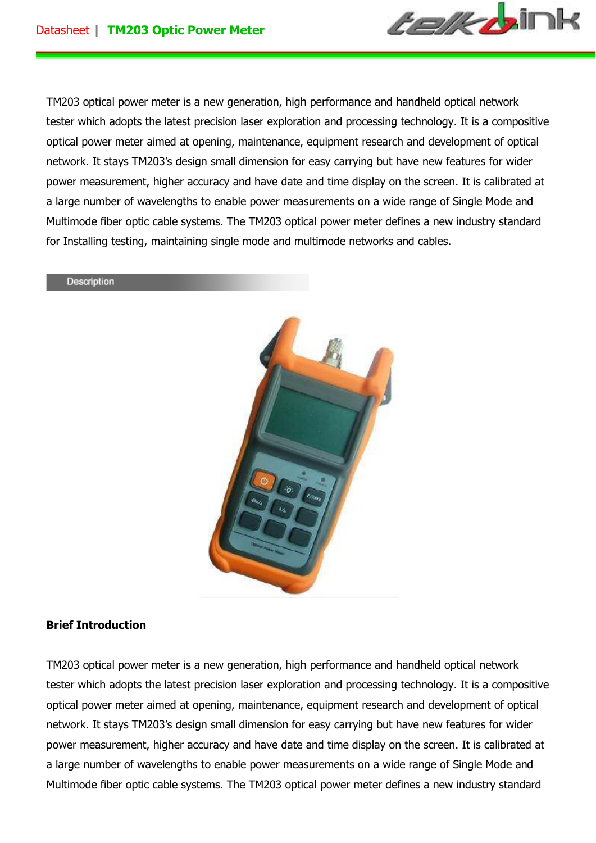

TM203 optical power meter is a new generation, high performance and handheld optical network tester which adopts the latest precision laser exploration and processing technology. It is a compositive optical power meter aimed at opening, maintenance, equipment research and development of optical network. It stays TM203's design small dimension for easy carrying but have new features for wider power measurement, higher accuracy and have date and time display on the screen. It is calibrated at a large number of wavelengths to enable power measurements on a wide range of Single Mode and Multimode fiber optic cable systems. The TM203 optical power meter defines a new industry standard for Installing testing, maintaining single mode and multimode networks and cables.

#### Description



### **Brief Introduction**

TM203 optical power meter is a new generation, high performance and handheld optical network tester which adopts the latest precision laser exploration and processing technology. It is a compositive optical power meter aimed at opening, maintenance, equipment research and development of optical network. It stays TM203's design small dimension for easy carrying but have new features for wider power measurement, higher accuracy and have date and time display on the screen. It is calibrated at a large number of wavelengths to enable power measurements on a wide range of Single Mode and Multimode fiber optic cable systems. The TM203 optical power meter defines a new industry standard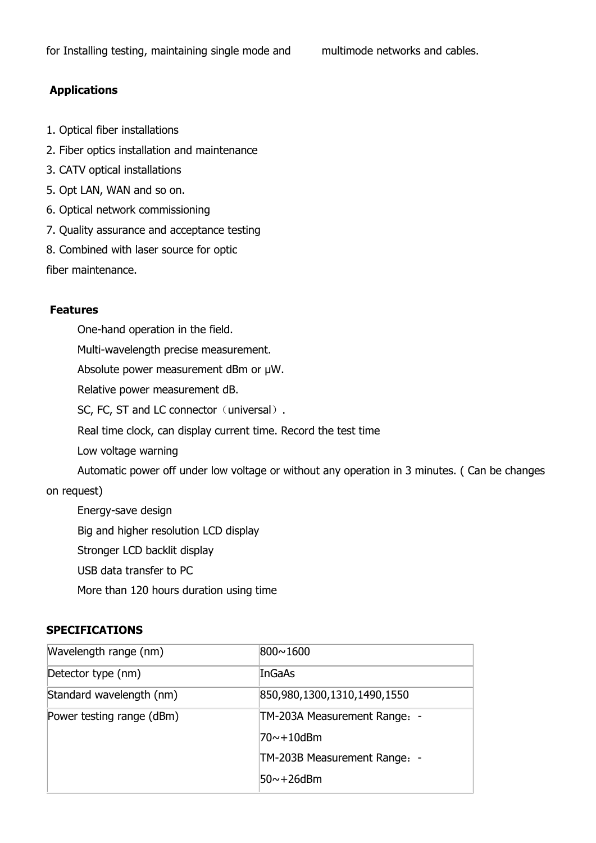# **Applications**

- 1. Optical fiber installations
- 2. Fiber optics installation and maintenance
- 3. CATV optical installations
- 5. Opt LAN, WAN and so on.
- 6. Optical network commissioning
- 7. Quality assurance and acceptance testing
- 8. Combined with laser source for optic

fiber maintenance.

## **Features**

 One-hand operation in the field. Multi-wavelength precise measurement. Absolute power measurement dBm or µW. Relative power measurement dB. SC, FC, ST and LC connector (universal). Real time clock, can display current time. Record the test time Low voltage warning Automatic power off under low voltage or without any operation in 3 minutes. ( Can be changes on request) Energy-save design Big and higher resolution LCD display Stronger LCD backlit display

USB data transfer to PC

More than 120 hours duration using time

### **SPECIFICATIONS**

| Wavelength range (nm)     | 800~1600                     |
|---------------------------|------------------------------|
| Detector type (nm)        | InGaAs                       |
| Standard wavelength (nm)  | 850,980,1300,1310,1490,1550  |
| Power testing range (dBm) | TM-203A Measurement Range: - |
|                           | 70~+10dBm                    |
|                           | TM-203B Measurement Range: - |
|                           | 50~+26dBm                    |
|                           |                              |